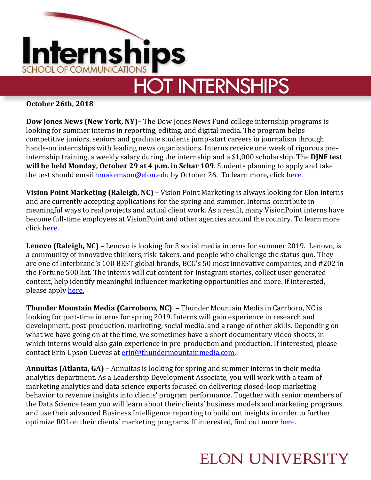

## **HOT INTERNSHIPS**

**October 26th, 2018**

**Dow Jones News (New York, NY)–** The Dow Jones News Fund college internship programs is looking for summer interns in reporting, editing, and digital media. The program helps competitive juniors, seniors and graduate students jump-start careers in journalism through hands-on internships with leading news organizations. Interns receive one week of rigorous preinternship training, a weekly salary during the internship and a \$1,000 scholarship. The **DJNF test will be held Monday, October 29 at 4 p.m. in Schar 109**. Students planning to apply and take the test should email [hmakemson@elon.edu](mailto:hmakemson@elon.edu) by October 26. To learn more, click [here.](https://dowjonesnewsfund.org/participate/programs/)

**Vision Point Marketing (Raleigh, NC) –** Vision Point Marketing is always looking for Elon interns and are currently accepting applications for the spring and summer. Interns contribute in meaningful ways to real projects and actual client work. As a result, many VisionPoint interns have become full-time employees at VisionPoint and other agencies around the country. To learn more click [here.](https://www.visionpointmarketing.com/about-us/careers) 

**Lenovo (Raleigh, NC) –** Lenovo is looking for 3 social media interns for summer 2019. Lenovo, is a community of innovative thinkers, risk-takers, and people who challenge the status quo. They are one of Interbrand's 100 BEST global brands, BCG's 50 most innovative companies, and #202 in the Fortune 500 list. The interns will cut content for Instagram stories, collect user generated content, help identify meaningful influencer marketing opportunities and more. If interested, please apply [here.](https://careers.peopleclick.com/careerscp/client_lenovo/external/en-us/gateway.do?functionName=viewFromLink&jobPostId=118127&localeCode=en-us&source=LinkedIn&sourceType=PREMIUM_POST_SITE)

**Thunder Mountain Media (Carroboro, NC) –** Thunder Mountain Media in Carrboro, NC is looking for part-time interns for spring 2019. Interns will gain experience in research and development, post-production, marketing, social media, and a range of other skills. Depending on what we have going on at the time, we sometimes have a short documentary video shoots, in which interns would also gain experience in pre-production and production. If interested, please contact Erin Upson Cuevas at [erin@thundermountainmedia.com.](mailto:erin@thundermountainmedia.com)

**Annuitas (Atlanta, GA) –** Annuitas is looking for spring and summer interns in their media analytics department. As a Leadership Development Associate, you will work with a team of marketing analytics and data science experts focused on delivering closed-loop marketing behavior to revenue insights into clients' program performance. Together with senior members of the Data Science team you will learn about their clients' business models and marketing programs and use their advanced Business Intelligence reporting to build out insights in order to further optimize ROI on their clients' marketing programs. If interested, find out more [here.](https://www.annuitas.com/career/marketing/data-science-practice-leadership-development-program-associate/)

## **ELON UNIVERSITY**